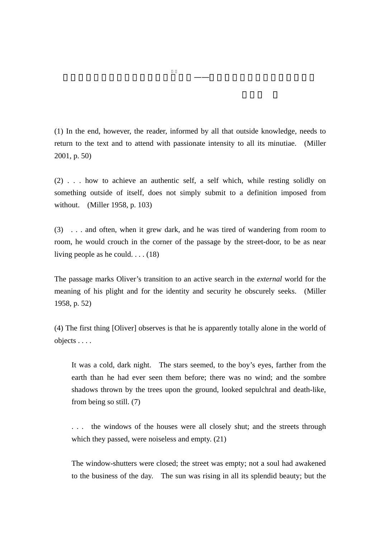(1) In the end, however, the reader, informed by all that outside knowledge, needs to return to the text and to attend with passionate intensity to all its minutiae. (Miller 2001, p. 50)

ー<del>ーー</del><br>マーカス、リーヴィス、リーヴィス、リーヴィス、リーヴィス

(2) . . . how to achieve an authentic self, a self which, while resting solidly on something outside of itself, does not simply submit to a definition imposed from without. (Miller 1958, p. 103)

(3) . . . and often, when it grew dark, and he was tired of wandering from room to room, he would crouch in the corner of the passage by the street-door, to be as near living people as he could. . . . (18)

The passage marks Oliver's transition to an active search in the *external* world for the meaning of his plight and for the identity and security he obscurely seeks. (Miller 1958, p. 52)

(4) The first thing [Oliver] observes is that he is apparently totally alone in the world of objects . . . .

It was a cold, dark night. The stars seemed, to the boy's eyes, farther from the earth than he had ever seen them before; there was no wind; and the sombre shadows thrown by the trees upon the ground, looked sepulchral and death-like, from being so still. (7)

. . . the windows of the houses were all closely shut; and the streets through which they passed, were noiseless and empty. (21)

The window-shutters were closed; the street was empty; not a soul had awakened to the business of the day. The sun was rising in all its splendid beauty; but the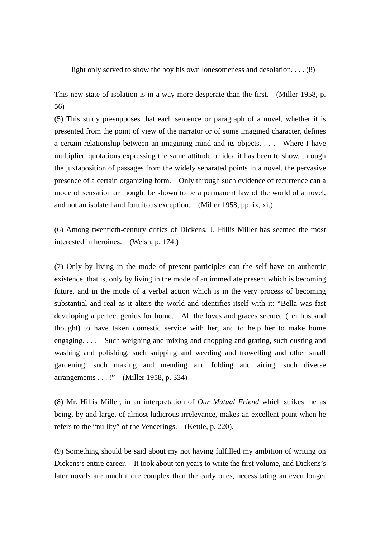light only served to show the boy his own lonesomeness and desolation. . . . (8)

This new state of isolation is in a way more desperate than the first. (Miller 1958, p. 56)

(5) This study presupposes that each sentence or paragraph of a novel, whether it is presented from the point of view of the narrator or of some imagined character, defines a certain relationship between an imagining mind and its objects. . . . Where I have multiplied quotations expressing the same attitude or idea it has been to show, through the juxtaposition of passages from the widely separated points in a novel, the pervasive presence of a certain organizing form. Only through such evidence of recurrence can a mode of sensation or thought be shown to be a permanent law of the world of a novel, and not an isolated and fortuitous exception. (Miller 1958, pp. ix, xi.)

(6) Among twentieth-century critics of Dickens, J. Hillis Miller has seemed the most interested in heroines. (Welsh, p. 174.)

(7) Only by living in the mode of present participles can the self have an authentic existence, that is, only by living in the mode of an immediate present which is becoming future, and in the mode of a verbal action which is in the very process of becoming substantial and real as it alters the world and identifies itself with it: "Bella was fast developing a perfect genius for home. All the loves and graces seemed (her husband thought) to have taken domestic service with her, and to help her to make home engaging. . . . Such weighing and mixing and chopping and grating, such dusting and washing and polishing, such snipping and weeding and trowelling and other small gardening, such making and mending and folding and airing, such diverse arrangements . . . !" (Miller 1958, p. 334)

(8) Mr. Hillis Miller, in an interpretation of *Our Mutual Friend* which strikes me as being, by and large, of almost ludicrous irrelevance, makes an excellent point when he refers to the "nullity" of the Veneerings. (Kettle, p. 220).

(9) Something should be said about my not having fulfilled my ambition of writing on Dickens's entire career. It took about ten years to write the first volume, and Dickens's later novels are much more complex than the early ones, necessitating an even longer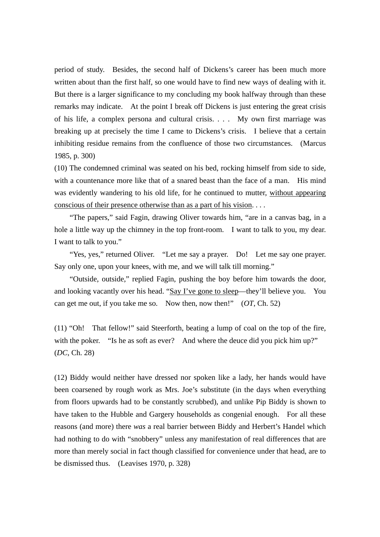period of study. Besides, the second half of Dickens's career has been much more written about than the first half, so one would have to find new ways of dealing with it. But there is a larger significance to my concluding my book halfway through than these remarks may indicate. At the point I break off Dickens is just entering the great crisis of his life, a complex persona and cultural crisis. . . . My own first marriage was breaking up at precisely the time I came to Dickens's crisis. I believe that a certain inhibiting residue remains from the confluence of those two circumstances. (Marcus 1985, p. 300)

(10) The condemned criminal was seated on his bed, rocking himself from side to side, with a countenance more like that of a snared beast than the face of a man. His mind was evidently wandering to his old life, for he continued to mutter, without appearing conscious of their presence otherwise than as a part of his vision. . . .

"The papers," said Fagin, drawing Oliver towards him, "are in a canvas bag, in a hole a little way up the chimney in the top front-room. I want to talk to you, my dear. I want to talk to you."

"Yes, yes," returned Oliver. "Let me say a prayer. Do! Let me say one prayer. Say only one, upon your knees, with me, and we will talk till morning."

 "Outside, outside," replied Fagin, pushing the boy before him towards the door, and looking vacantly over his head. "Say I've gone to sleep—they'll believe you. You can get me out, if you take me so. Now then, now then!" (*OT*, Ch. 52)

(11) "Oh! That fellow!" said Steerforth, beating a lump of coal on the top of the fire, with the poker. "Is he as soft as ever? And where the deuce did you pick him up?" (*DC*, Ch. 28)

(12) Biddy would neither have dressed nor spoken like a lady, her hands would have been coarsened by rough work as Mrs. Joe's substitute (in the days when everything from floors upwards had to be constantly scrubbed), and unlike Pip Biddy is shown to have taken to the Hubble and Gargery households as congenial enough. For all these reasons (and more) there *was* a real barrier between Biddy and Herbert's Handel which had nothing to do with "snobbery" unless any manifestation of real differences that are more than merely social in fact though classified for convenience under that head, are to be dismissed thus. (Leavises 1970, p. 328)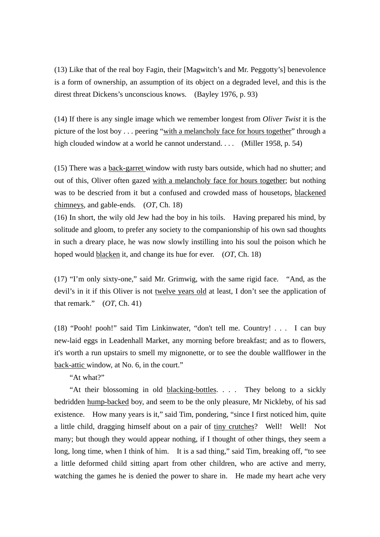(13) Like that of the real boy Fagin, their [Magwitch's and Mr. Peggotty's] benevolence is a form of ownership, an assumption of its object on a degraded level, and this is the direst threat Dickens's unconscious knows. (Bayley 1976, p. 93)

(14) If there is any single image which we remember longest from *Oliver Twist* it is the picture of the lost boy . . . peering "with a melancholy face for hours together" through a high clouded window at a world he cannot understand. . . . (Miller 1958, p. 54)

(15) There was a back-garret window with rusty bars outside, which had no shutter; and out of this, Oliver often gazed with a melancholy face for hours together; but nothing was to be descried from it but a confused and crowded mass of housetops, blackened chimneys, and gable-ends. (*OT*, Ch. 18)

(16) In short, the wily old Jew had the boy in his toils. Having prepared his mind, by solitude and gloom, to prefer any society to the companionship of his own sad thoughts in such a dreary place, he was now slowly instilling into his soul the poison which he hoped would blacken it, and change its hue for ever. (*OT*, Ch. 18)

(17) "I'm only sixty-one," said Mr. Grimwig, with the same rigid face. "And, as the devil's in it if this Oliver is not twelve years old at least, I don't see the application of that remark." (*OT*, Ch. 41)

(18) "Pooh! pooh!" said Tim Linkinwater, "don't tell me. Country! . . . I can buy new-laid eggs in Leadenhall Market, any morning before breakfast; and as to flowers, it's worth a run upstairs to smell my mignonette, or to see the double wallflower in the back-attic window, at No. 6, in the court."

"At what?"

 "At their blossoming in old blacking-bottles. . . . They belong to a sickly bedridden hump-backed boy, and seem to be the only pleasure, Mr Nickleby, of his sad existence. How many years is it," said Tim, pondering, "since I first noticed him, quite a little child, dragging himself about on a pair of tiny crutches? Well! Well! Not many; but though they would appear nothing, if I thought of other things, they seem a long, long time, when I think of him. It is a sad thing," said Tim, breaking off, "to see a little deformed child sitting apart from other children, who are active and merry, watching the games he is denied the power to share in. He made my heart ache very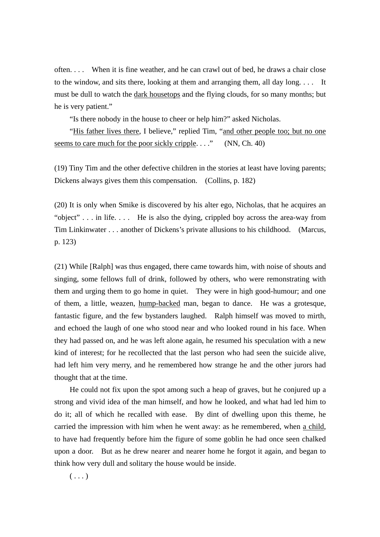often. . . . When it is fine weather, and he can crawl out of bed, he draws a chair close to the window, and sits there, looking at them and arranging them, all day long. . . . It must be dull to watch the dark housetops and the flying clouds, for so many months; but he is very patient."

"Is there nobody in the house to cheer or help him?" asked Nicholas.

 "His father lives there, I believe," replied Tim, "and other people too; but no one seems to care much for the poor sickly cripple.  $\dots$ ." (NN, Ch. 40)

(19) Tiny Tim and the other defective children in the stories at least have loving parents; Dickens always gives them this compensation. (Collins, p. 182)

(20) It is only when Smike is discovered by his alter ego, Nicholas, that he acquires an "object" . . . in life. . . . He is also the dying, crippled boy across the area-way from Tim Linkinwater . . . another of Dickens's private allusions to his childhood. (Marcus, p. 123)

(21) While [Ralph] was thus engaged, there came towards him, with noise of shouts and singing, some fellows full of drink, followed by others, who were remonstrating with them and urging them to go home in quiet. They were in high good-humour; and one of them, a little, weazen, hump-backed man, began to dance. He was a grotesque, fantastic figure, and the few bystanders laughed. Ralph himself was moved to mirth, and echoed the laugh of one who stood near and who looked round in his face. When they had passed on, and he was left alone again, he resumed his speculation with a new kind of interest; for he recollected that the last person who had seen the suicide alive, had left him very merry, and he remembered how strange he and the other jurors had thought that at the time.

 He could not fix upon the spot among such a heap of graves, but he conjured up a strong and vivid idea of the man himself, and how he looked, and what had led him to do it; all of which he recalled with ease. By dint of dwelling upon this theme, he carried the impression with him when he went away: as he remembered, when a child, to have had frequently before him the figure of some goblin he had once seen chalked upon a door. But as he drew nearer and nearer home he forgot it again, and began to think how very dull and solitary the house would be inside.

 $( \ldots )$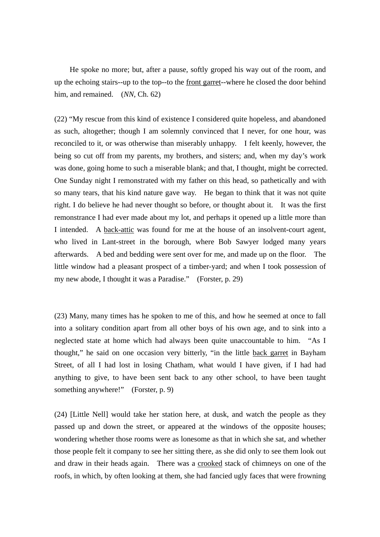He spoke no more; but, after a pause, softly groped his way out of the room, and up the echoing stairs--up to the top--to the front garret--where he closed the door behind him, and remained. (*NN*, Ch. 62)

(22) "My rescue from this kind of existence I considered quite hopeless, and abandoned as such, altogether; though I am solemnly convinced that I never, for one hour, was reconciled to it, or was otherwise than miserably unhappy. I felt keenly, however, the being so cut off from my parents, my brothers, and sisters; and, when my day's work was done, going home to such a miserable blank; and that, I thought, might be corrected. One Sunday night I remonstrated with my father on this head, so pathetically and with so many tears, that his kind nature gave way. He began to think that it was not quite right. I do believe he had never thought so before, or thought about it. It was the first remonstrance I had ever made about my lot, and perhaps it opened up a little more than I intended. A back-attic was found for me at the house of an insolvent-court agent, who lived in Lant-street in the borough, where Bob Sawyer lodged many years afterwards. A bed and bedding were sent over for me, and made up on the floor. The little window had a pleasant prospect of a timber-yard; and when I took possession of my new abode, I thought it was a Paradise." (Forster, p. 29)

(23) Many, many times has he spoken to me of this, and how he seemed at once to fall into a solitary condition apart from all other boys of his own age, and to sink into a neglected state at home which had always been quite unaccountable to him. "As I thought," he said on one occasion very bitterly, "in the little back garret in Bayham Street, of all I had lost in losing Chatham, what would I have given, if I had had anything to give, to have been sent back to any other school, to have been taught something anywhere!" (Forster, p. 9)

(24) [Little Nell] would take her station here, at dusk, and watch the people as they passed up and down the street, or appeared at the windows of the opposite houses; wondering whether those rooms were as lonesome as that in which she sat, and whether those people felt it company to see her sitting there, as she did only to see them look out and draw in their heads again. There was a crooked stack of chimneys on one of the roofs, in which, by often looking at them, she had fancied ugly faces that were frowning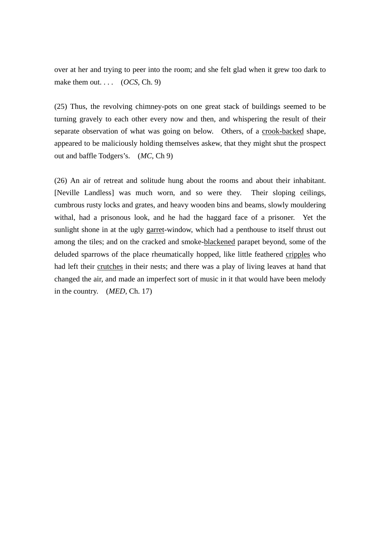over at her and trying to peer into the room; and she felt glad when it grew too dark to make them out.  $\ldots$  (*OCS*, Ch. 9)

(25) Thus, the revolving chimney-pots on one great stack of buildings seemed to be turning gravely to each other every now and then, and whispering the result of their separate observation of what was going on below. Others, of a crook-backed shape, appeared to be maliciously holding themselves askew, that they might shut the prospect out and baffle Todgers's. (*MC*, Ch 9)

(26) An air of retreat and solitude hung about the rooms and about their inhabitant. [Neville Landless] was much worn, and so were they. Their sloping ceilings, cumbrous rusty locks and grates, and heavy wooden bins and beams, slowly mouldering withal, had a prisonous look, and he had the haggard face of a prisoner. Yet the sunlight shone in at the ugly garret-window, which had a penthouse to itself thrust out among the tiles; and on the cracked and smoke-blackened parapet beyond, some of the deluded sparrows of the place rheumatically hopped, like little feathered cripples who had left their crutches in their nests; and there was a play of living leaves at hand that changed the air, and made an imperfect sort of music in it that would have been melody in the country. (*MED*, Ch. 17)